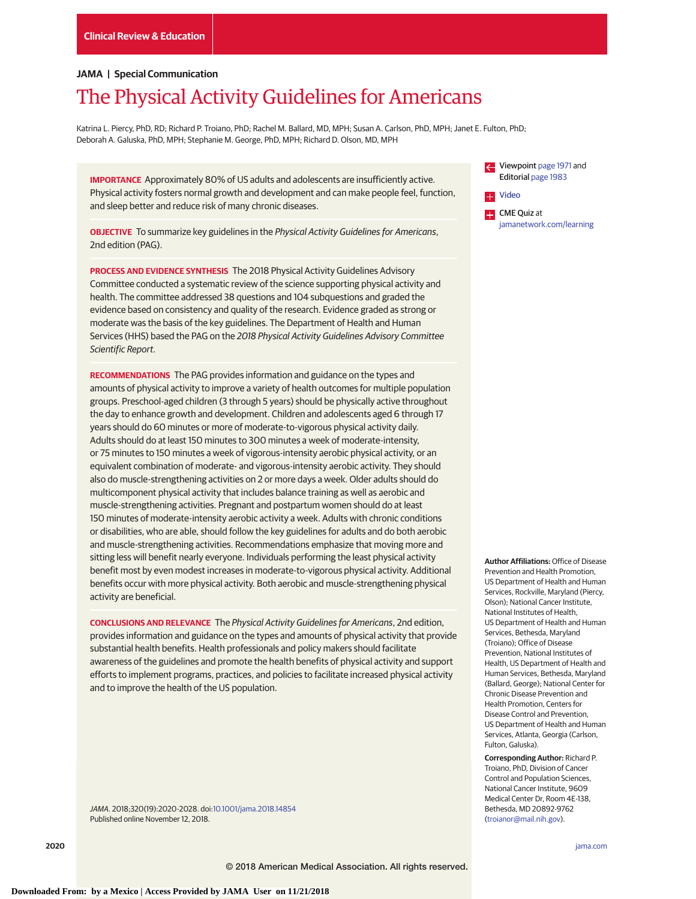# **JAMA | Special Communication**

# The Physical Activity Guidelines for Americans

Katrina L. Piercy, PhD, RD; Richard P. Troiano, PhD; Rachel M. Ballard, MD, MPH; Susan A. Carlson, PhD, MPH; Janet E. Fulton, PhD; Deborah A. Galuska, PhD, MPH; Stephanie M. George, PhD, MPH; Richard D. Olson, MD, MPH

**IMPORTANCE** Approximately 80% of US adults and adolescents are insufficiently active. Physical activity fosters normal growth and development and can make people feel, function, and sleep better and reduce risk of many chronic diseases.

**OBJECTIVE** To summarize key guidelines in the Physical Activity Guidelines for Americans, 2nd edition (PAG).

**PROCESS AND EVIDENCE SYNTHESIS** The 2018 Physical Activity Guidelines Advisory Committee conducted a systematic review of the science supporting physical activity and health. The committee addressed 38 questions and 104 subquestions and graded the evidence based on consistency and quality of the research. Evidence graded as strong or moderate was the basis of the key guidelines. The Department of Health and Human Services (HHS) based the PAG on the 2018 Physical Activity Guidelines Advisory Committee Scientific Report.

**RECOMMENDATIONS** The PAG provides information and guidance on the types and amounts of physical activity to improve a variety of health outcomes for multiple population groups. Preschool-aged children (3 through 5 years) should be physically active throughout the day to enhance growth and development. Children and adolescents aged 6 through 17 years should do 60 minutes or more of moderate-to-vigorous physical activity daily. Adults should do at least 150 minutes to 300 minutes a week of moderate-intensity, or 75 minutes to 150 minutes a week of vigorous-intensity aerobic physical activity, or an equivalent combination of moderate- and vigorous-intensity aerobic activity. They should also do muscle-strengthening activities on 2 or more days a week. Older adults should do multicomponent physical activity that includes balance training as well as aerobic and muscle-strengthening activities. Pregnant and postpartum women should do at least 150 minutes of moderate-intensity aerobic activity a week. Adults with chronic conditions or disabilities, who are able, should follow the key guidelines for adults and do both aerobic and muscle-strengthening activities. Recommendations emphasize that moving more and sitting less will benefit nearly everyone. Individuals performing the least physical activity benefit most by even modest increases in moderate-to-vigorous physical activity. Additional benefits occur with more physical activity. Both aerobic and muscle-strengthening physical activity are beneficial.

**CONCLUSIONS AND RELEVANCE** The Physical Activity Guidelines for Americans, 2nd edition, provides information and guidance on the types and amounts of physical activity that provide substantial health benefits. Health professionals and policy makers should facilitate awareness of the guidelines and promote the health benefits of physical activity and support efforts to implement programs, practices, and policies to facilitate increased physical activity and to improve the health of the US population.

JAMA. 2018;320(19):2020-2028. doi[:10.1001/jama.2018.14854](https://jama.jamanetwork.com/article.aspx?doi=10.1001/jama.2018.14854&utm_campaign=articlePDF%26utm_medium=articlePDFlink%26utm_source=articlePDF%26utm_content=jama.2018.14854) Published online November 12, 2018.

Viewpoint [page 1971](https://jama.jamanetwork.com/article.aspx?doi=10.1001/jama.2018.16998&utm_campaign=articlePDF%26utm_medium=articlePDFlink%26utm_source=articlePDF%26utm_content=jama.2018.14854) and Editorial [page 1983](https://jama.jamanetwork.com/article.aspx?doi=10.1001/jama.2018.16070&utm_campaign=articlePDF%26utm_medium=articlePDFlink%26utm_source=articlePDF%26utm_content=jama.2018.14854) **ES** [Video](https://jamanetwork.com/learning/video-player/10.1001/jama.2018.16371/?utm_campaign=articlePDF%26utm_medium=articlePDFlink%26utm_source=articlePDF%26utm_content=jama.2018.14854)

**CME** Quiz at [jamanetwork.com/learning](https://jama.jamanetwork.com/learning/article-quiz/10.1001/jama.2018.14854/?utm_campaign=articlePDF%26utm_medium=articlePDFlink%26utm_source=articlePDF%26utm_content=jama.2018.14854)

**Author Affiliations:** Office of Disease Prevention and Health Promotion, US Department of Health and Human Services, Rockville, Maryland (Piercy, Olson); National Cancer Institute, National Institutes of Health, US Department of Health and Human Services, Bethesda, Maryland (Troiano); Office of Disease Prevention, National Institutes of Health, US Department of Health and Human Services, Bethesda, Maryland (Ballard, George); National Center for Chronic Disease Prevention and Health Promotion, Centers for Disease Control and Prevention, US Department of Health and Human Services, Atlanta, Georgia (Carlson, Fulton, Galuska).

**Corresponding Author:** Richard P. Troiano, PhD, Division of Cancer Control and Population Sciences, National Cancer Institute, 9609 Medical Center Dr, Room 4E-138, Bethesda, MD 20892-9762 [\(troianor@mail.nih.gov\)](mailto:troianor@mail.nih.gov).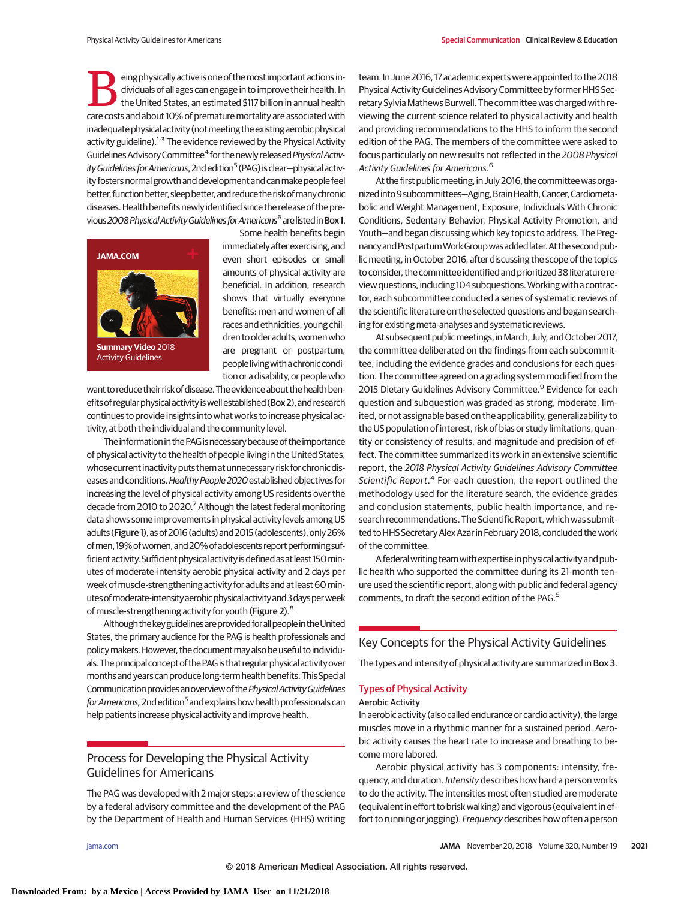eing physically active is one of the most important actions individuals of all ages can engage in to improve their health. In the United States, an estimated \$117 billion in annual health care costs and about 10% of premature mortality are associated with inadequate physical activity (not meeting the existing aerobic physical activity guideline).<sup>1-3</sup> The evidence reviewed by the Physical Activity Guidelines Advisory Committee<sup>4</sup> for the newly released Physical Activity Guidelines for Americans, 2nd edition<sup>5</sup> (PAG) is clear-physical activity fosters normal growth and development and can make people feel better, function better, sleep better, and reduce the risk of many chronic diseases.Health benefits newly identified since the release of the previous 2008 Physical Activity Guidelines for Americans<sup>6</sup> are listed in Box 1.



beneficial. In addition, research shows that virtually everyone benefits: men and women of all races and ethnicities, young children to older adults, women who are pregnant or postpartum, peoplelivingwithachroniccondition or a disability, or people who

Some health benefits begin immediately after exercising, and even short episodes or small amounts of physical activity are

want to reduce their risk of disease. The evidence about the health benefits of regular physical activity is well established (Box 2), and research continues to provide insights into what works to increase physical activity, at both the individual and the community level.

The information in the PAG is necessary because of the importance of physical activity to the health of people living in the United States, whose current inactivity puts themat unnecessary risk for chronic diseases and conditions. Healthy People 2020 established objectives for increasing the level of physical activity among US residents over the decade from 2010 to 2020.<sup>7</sup> Although the latest federal monitoring data shows some improvements in physical activity levels among US adults (Figure 1), as of 2016 (adults) and 2015 (adolescents), only 26% of men, 19% of women, and 20% of adolescents report performing sufficient activity. Sufficient physical activity is defined as at least 150 minutes of moderate-intensity aerobic physical activity and 2 days per week of muscle-strengthening activity for adults and at least 60 minutesofmoderate-intensityaerobicphysicalactivityand3daysperweek of muscle-strengthening activity for youth (Figure 2).8

Although the key guidelines are provided for all people in the United States, the primary audience for the PAG is health professionals and policy makers. However, the document may also be useful to individuals. The principal concept of the PAG is that regular physical activity over monthsandyears can produce long-term health benefits. ThisSpecial Communicationprovidesanoverviewof thePhysicalActivityGuidelines for Americans, 2nd edition<sup>5</sup> and explains how health professionals can help patients increase physical activity and improve health.

# Process for Developing the Physical Activity Guidelines for Americans

The PAG was developed with 2 major steps: a review of the science by a federal advisory committee and the development of the PAG by the Department of Health and Human Services (HHS) writing

team.In June 2016, 17 academic experts were appointed to the 2018 Physical Activity Guidelines Advisory Committee by former HHS Secretary Sylvia Mathews Burwell. The committee was charged with reviewing the current science related to physical activity and health and providing recommendations to the HHS to inform the second edition of the PAG. The members of the committee were asked to focus particularly on new results not reflected in the 2008 Physical Activity Guidelines for Americans.<sup>6</sup>

At the first public meeting, in July 2016, the committee was organized into 9 subcommittees-Aging, Brain Health, Cancer, Cardiometabolic and Weight Management, Exposure, Individuals With Chronic Conditions, Sedentary Behavior, Physical Activity Promotion, and Youth—and began discussing which key topics to address. The PregnancyandPostpartumWorkGroupwasaddedlater.At thesecondpublic meeting, in October 2016, after discussing the scope of the topics to consider, the committee identified and prioritized 38 literature review questions, including 104 subquestions.Working with a contractor, each subcommittee conducted a series of systematic reviews of the scientific literature on the selected questions and began searching for existing meta-analyses and systematic reviews.

At subsequent public meetings, in March, July, and October 2017, the committee deliberated on the findings from each subcommittee, including the evidence grades and conclusions for each question. The committee agreed on a grading system modified from the 2015 Dietary Guidelines Advisory Committee.<sup>9</sup> Evidence for each question and subquestion was graded as strong, moderate, limited, or not assignable based on the applicability, generalizability to the US population of interest, risk of bias or study limitations, quantity or consistency of results, and magnitude and precision of effect. The committee summarized its work in an extensive scientific report, the 2018 Physical Activity Guidelines Advisory Committee Scientific Report.<sup>4</sup> For each question, the report outlined the methodology used for the literature search, the evidence grades and conclusion statements, public health importance, and research recommendations. The Scientific Report, which was submitted to HHS Secretary Alex Azar in February 2018, concluded the work of the committee.

A federal writing team with expertise in physical activity and public health who supported the committee during its 21-month tenure used the scientific report, along with public and federal agency comments, to draft the second edition of the PAG.<sup>5</sup>

# Key Concepts for the Physical Activity Guidelines

The types and intensity of physical activity are summarized in Box 3.

## Types of Physical Activity

## Aerobic Activity

In aerobic activity (also called endurance or cardio activity), the large muscles move in a rhythmic manner for a sustained period. Aerobic activity causes the heart rate to increase and breathing to become more labored.

Aerobic physical activity has 3 components: intensity, frequency, and duration. Intensity describes how hard a person works to do the activity. The intensities most often studied are moderate (equivalent in effort to brisk walking) and vigorous (equivalent in effort to running or jogging). Frequency describes how often a person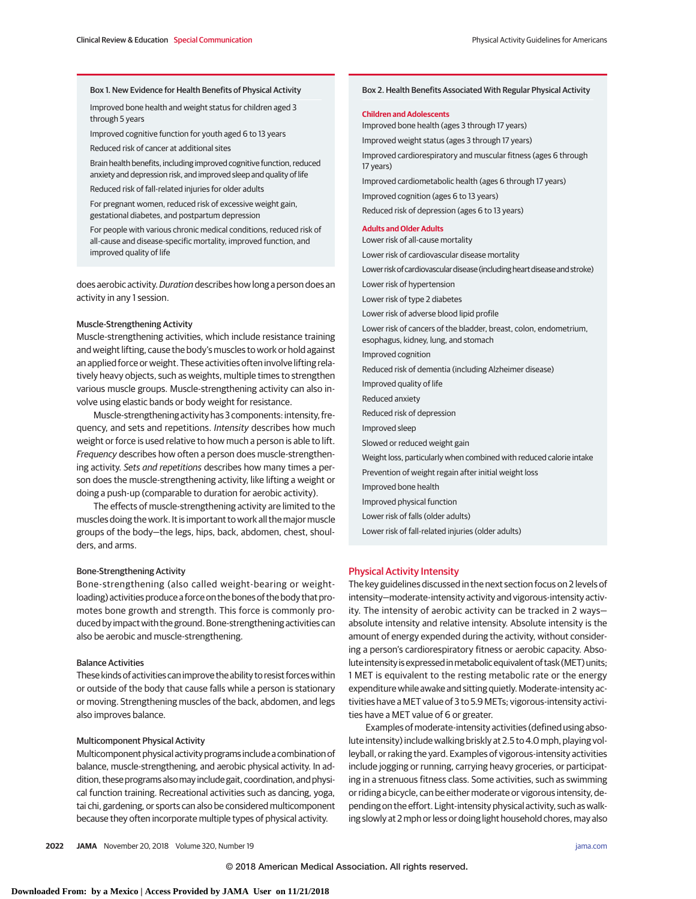## Box 1. New Evidence for Health Benefits of Physical Activity

Improved bone health and weight status for children aged 3 through 5 years

Improved cognitive function for youth aged 6 to 13 years

Reduced risk of cancer at additional sites

Brain health benefits, including improved cognitive function, reduced anxiety and depression risk, and improved sleep and quality of life

Reduced risk of fall-related injuries for older adults

For pregnant women, reduced risk of excessive weight gain, gestational diabetes, and postpartum depression

For people with various chronic medical conditions, reduced risk of all-cause and disease-specific mortality, improved function, and improved quality of life

does aerobic activity. Duration describes how long a person does an activity in any 1 session.

## Muscle-Strengthening Activity

Muscle-strengthening activities, which include resistance training and weight lifting, cause the body's muscles to work or hold against an applied force or weight. These activities often involve lifting relatively heavy objects, such as weights, multiple times to strengthen various muscle groups. Muscle-strengthening activity can also involve using elastic bands or body weight for resistance.

Muscle-strengthening activity has 3 components: intensity, frequency, and sets and repetitions. Intensity describes how much weight or force is used relative to how much a person is able to lift. Frequency describes how often a person does muscle-strengthening activity. Sets and repetitions describes how many times a person does the muscle-strengthening activity, like lifting a weight or doing a push-up (comparable to duration for aerobic activity).

The effects of muscle-strengthening activity are limited to the muscles doing the work. It is important to work all the major muscle groups of the body—the legs, hips, back, abdomen, chest, shoulders, and arms.

#### Bone-Strengthening Activity

Bone-strengthening (also called weight-bearing or weightloading) activities produce a force on the bones of the body that promotes bone growth and strength. This force is commonly produced by impact with the ground. Bone-strengthening activities can also be aerobic and muscle-strengthening.

## Balance Activities

These kinds of activities can improve the ability to resist forceswithin or outside of the body that cause falls while a person is stationary or moving. Strengthening muscles of the back, abdomen, and legs also improves balance.

#### Multicomponent Physical Activity

Multicomponent physical activity programs include a combination of balance, muscle-strengthening, and aerobic physical activity. In addition, these programs also may include gait, coordination, and physical function training. Recreational activities such as dancing, yoga, tai chi, gardening, or sports can also be considered multicomponent because they often incorporate multiple types of physical activity.

#### Box 2. Health Benefits Associated With Regular Physical Activity

#### **Children and Adolescents**

Improved bone health (ages 3 through 17 years)

Improved weight status (ages 3 through 17 years) Improved cardiorespiratory and muscular fitness (ages 6 through 17 years) Improved cardiometabolic health (ages 6 through 17 years) Improved cognition (ages 6 to 13 years) Reduced risk of depression (ages 6 to 13 years)

## **Adults and Older Adults**

Lower risk of all-cause mortality Lower risk of cardiovascular disease mortality Lower risk of cardiovascular disease (including heart disease and stroke) Lower risk of hypertension Lower risk of type 2 diabetes Lower risk of adverse blood lipid profile Lower risk of cancers of the bladder, breast, colon, endometrium, esophagus, kidney, lung, and stomach Improved cognition Reduced risk of dementia (including Alzheimer disease) Improved quality of life Reduced anxiety Reduced risk of depression Improved sleep Slowed or reduced weight gain Weight loss, particularly when combined with reduced calorie intake Prevention of weight regain after initial weight loss Improved bone health Improved physical function Lower risk of falls (older adults) Lower risk of fall-related injuries (older adults)

#### Physical Activity Intensity

The key guidelines discussed in the next section focus on 2 levels of intensity—moderate-intensity activity and vigorous-intensity activity. The intensity of aerobic activity can be tracked in 2 ways absolute intensity and relative intensity. Absolute intensity is the amount of energy expended during the activity, without considering a person's cardiorespiratory fitness or aerobic capacity. Absolute intensity is expressed in metabolic equivalent of task (MET) units; 1 MET is equivalent to the resting metabolic rate or the energy expenditure while awake and sitting quietly. Moderate-intensity activities have a MET value of 3 to 5.9 METs; vigorous-intensity activities have a MET value of 6 or greater.

Examples of moderate-intensity activities (defined using absolute intensity) include walking briskly at 2.5 to 4.0 mph, playing volleyball, or raking the yard. Examples of vigorous-intensity activities include jogging or running, carrying heavy groceries, or participating in a strenuous fitness class. Some activities, such as swimming or riding a bicycle, can be either moderate or vigorous intensity, depending on the effort. Light-intensity physical activity, such as walking slowly at 2 mph or less or doing light household chores, may also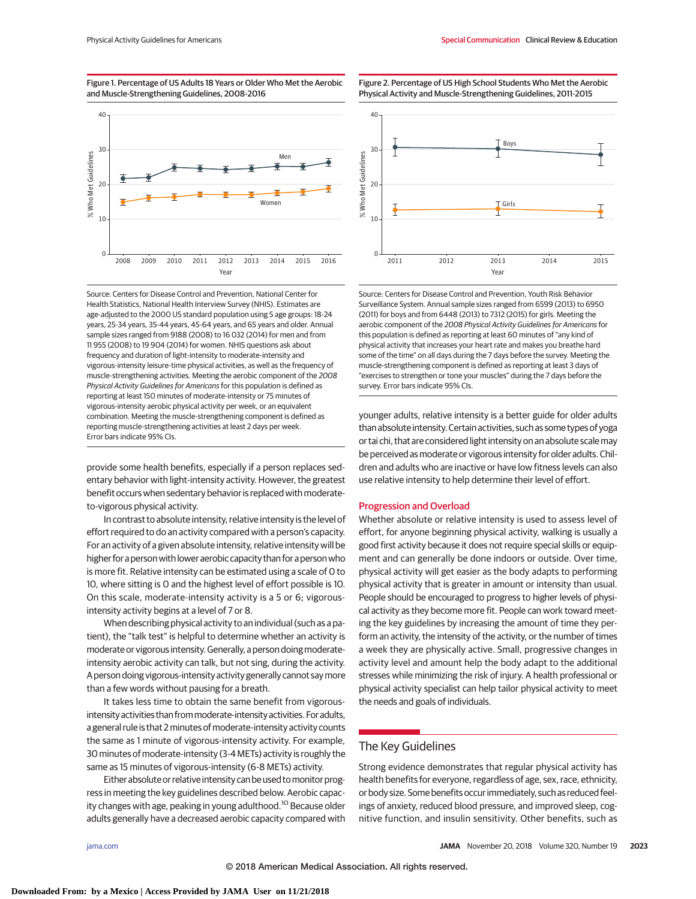Figure 1. Percentage of US Adults 18 Years or Older Who Met the Aerobic and Muscle-Strengthening Guidelines, 2008-2016



Source: Centers for Disease Control and Prevention, National Center for Health Statistics, National Health Interview Survey (NHIS). Estimates are age-adjusted to the 2000 US standard population using 5 age groups: 18-24 years, 25-34 years, 35-44 years, 45-64 years, and 65 years and older. Annual sample sizes ranged from 9188 (2008) to 16 032 (2014) for men and from 11 955 (2008) to 19 904 (2014) for women. NHIS questions ask about frequency and duration of light-intensity to moderate-intensity and vigorous-intensity leisure-time physical activities, as well as the frequency of muscle-strengthening activities. Meeting the aerobic component of the 2008 Physical Activity Guidelines for Americans for this population is defined as reporting at least 150 minutes of moderate-intensity or 75 minutes of vigorous-intensity aerobic physical activity per week, or an equivalent combination. Meeting the muscle-strengthening component is defined as reporting muscle-strengthening activities at least 2 days per week. Error bars indicate 95% CIs.

provide some health benefits, especially if a person replaces sedentary behavior with light-intensity activity. However, the greatest benefit occurs when sedentary behavior is replaced with moderateto-vigorous physical activity.

In contrast to absolute intensity, relative intensity is the level of effort required to do an activity compared with a person's capacity. For an activity of a given absolute intensity, relative intensity will be higher for a personwith lower aerobic capacity than for a personwho is more fit. Relative intensity can be estimated using a scale of 0 to 10, where sitting is 0 and the highest level of effort possible is 10. On this scale, moderate-intensity activity is a 5 or 6; vigorousintensity activity begins at a level of 7 or 8.

When describing physical activity to an individual (such as a patient), the "talk test" is helpful to determine whether an activity is moderate or vigorous intensity. Generally, a person doing moderateintensity aerobic activity can talk, but not sing, during the activity. A person doing vigorous-intensity activity generally cannot saymore than a few words without pausing for a breath.

It takes less time to obtain the same benefit from vigorousintensityactivities than frommoderate-intensityactivities. Foradults, a general rule is that 2 minutes of moderate-intensity activity counts the same as 1 minute of vigorous-intensity activity. For example, 30 minutes of moderate-intensity (3-4 METs) activity is roughly the same as 15 minutes of vigorous-intensity (6-8 METs) activity.

Either absolute or relative intensity can be used to monitor progress in meeting the key guidelines described below. Aerobic capacity changes with age, peaking in young adulthood.<sup>10</sup> Because older adults generally have a decreased aerobic capacity compared with

40 Boys 30 % Who Met Guidelines % Who Met Guidelines 20 Girls  $10$ 0 2011 2012 2013 2014 2015 Year

Figure 2. Percentage of US High School Students Who Met the Aerobic Physical Activity and Muscle-Strengthening Guidelines, 2011-2015

Source: Centers for Disease Control and Prevention, Youth Risk Behavior Surveillance System. Annual sample sizes ranged from 6599 (2013) to 6950 (2011) for boys and from 6448 (2013) to 7312 (2015) for girls. Meeting the aerobic component of the 2008 Physical Activity Guidelines for Americans for this population is defined as reporting at least 60 minutes of "any kind of physical activity that increases your heart rate and makes you breathe hard some of the time" on all days during the 7 days before the survey. Meeting the muscle-strengthening component is defined as reporting at least 3 days of "exercises to strengthen or tone your muscles" during the 7 days before the survey. Error bars indicate 95% CIs.

younger adults, relative intensity is a better guide for older adults than absolute intensity. Certain activities, such as some types of yoga or tai chi, that are considered light intensity on an absolute scalemay be perceived asmoderate or vigorous intensity for older adults. Children and adults who are inactive or have low fitness levels can also use relative intensity to help determine their level of effort.

#### Progression and Overload

Whether absolute or relative intensity is used to assess level of effort, for anyone beginning physical activity, walking is usually a good first activity because it does not require special skills or equipment and can generally be done indoors or outside. Over time, physical activity will get easier as the body adapts to performing physical activity that is greater in amount or intensity than usual. People should be encouraged to progress to higher levels of physical activity as they become more fit. People can work toward meeting the key guidelines by increasing the amount of time they perform an activity, the intensity of the activity, or the number of times a week they are physically active. Small, progressive changes in activity level and amount help the body adapt to the additional stresses while minimizing the risk of injury. A health professional or physical activity specialist can help tailor physical activity to meet the needs and goals of individuals.

## The Key Guidelines

Strong evidence demonstrates that regular physical activity has health benefits for everyone, regardless of age, sex, race, ethnicity, or body size. Some benefits occur immediately, such as reduced feelings of anxiety, reduced blood pressure, and improved sleep, cognitive function, and insulin sensitivity. Other benefits, such as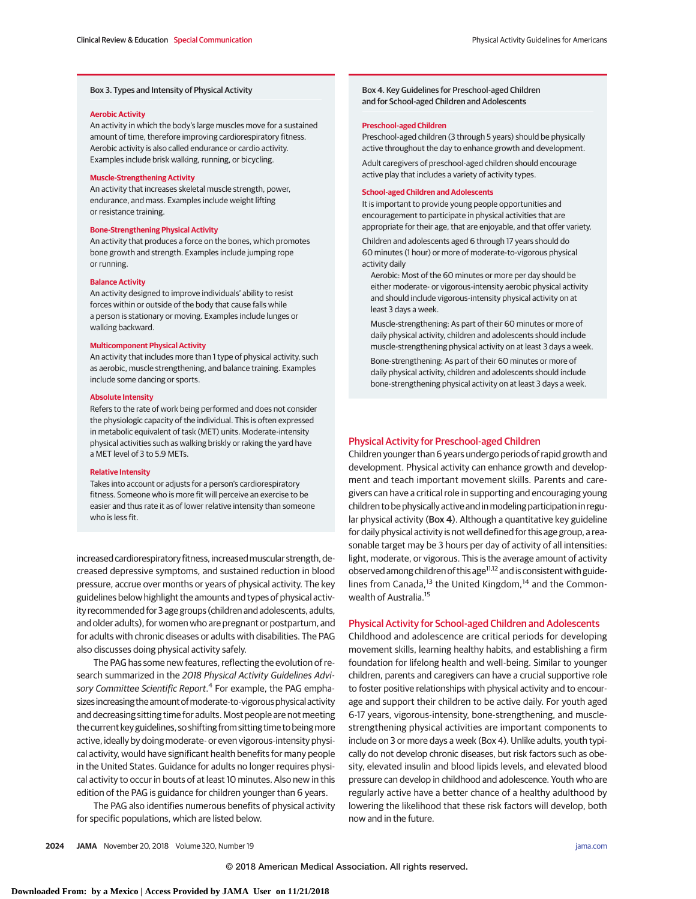#### Box 3. Types and Intensity of Physical Activity

#### **Aerobic Activity**

An activity in which the body's large muscles move for a sustained amount of time, therefore improving cardiorespiratory fitness. Aerobic activity is also called endurance or cardio activity. Examples include brisk walking, running, or bicycling.

#### **Muscle-Strengthening Activity**

An activity that increases skeletal muscle strength, power, endurance, and mass. Examples include weight lifting or resistance training.

#### **Bone-Strengthening Physical Activity**

An activity that produces a force on the bones, which promotes bone growth and strength. Examples include jumping rope or running.

#### **Balance Activity**

An activity designed to improve individuals' ability to resist forces within or outside of the body that cause falls while a person is stationary or moving. Examples include lunges or walking backward.

## **Multicomponent Physical Activity**

An activity that includes more than 1 type of physical activity, such as aerobic, muscle strengthening, and balance training. Examples include some dancing or sports.

#### **Absolute Intensity**

Refers to the rate of work being performed and does not consider the physiologic capacity of the individual. This is often expressed in metabolic equivalent of task (MET) units. Moderate-intensity physical activities such as walking briskly or raking the yard have a MET level of 3 to 5.9 METs.

#### **Relative Intensity**

Takes into account or adjusts for a person's cardiorespiratory fitness. Someone who is more fit will perceive an exercise to be easier and thus rate it as of lower relative intensity than someone who is less fit.

increased cardiorespiratory fitness, increasedmuscular strength, decreased depressive symptoms, and sustained reduction in blood pressure, accrue over months or years of physical activity. The key guidelines below highlight the amounts and types of physical activity recommended for 3 age groups (children and adolescents, adults, and older adults), for women who are pregnant or postpartum, and for adults with chronic diseases or adults with disabilities. The PAG also discusses doing physical activity safely.

The PAG has some new features, reflecting the evolution of research summarized in the 2018 Physical Activity Guidelines Advisory Committee Scientific Report.<sup>4</sup> For example, the PAG emphasizes increasing the amount of moderate-to-vigorous physical activity and decreasing sitting time for adults. Most people are not meeting the current key guidelines, so shifting from sitting time to beingmore active, ideally by doing moderate- or even vigorous-intensity physical activity, would have significant health benefits for many people in the United States. Guidance for adults no longer requires physical activity to occur in bouts of at least 10 minutes. Also new in this edition of the PAG is guidance for children younger than 6 years.

The PAG also identifies numerous benefits of physical activity for specific populations, which are listed below.

Box 4. Key Guidelines for Preschool-aged Children and for School-aged Children and Adolescents

#### **Preschool-aged Children**

Preschool-aged children (3 through 5 years) should be physically active throughout the day to enhance growth and development.

Adult caregivers of preschool-aged children should encourage active play that includes a variety of activity types.

#### **School-aged Children and Adolescents**

It is important to provide young people opportunities and encouragement to participate in physical activities that are appropriate for their age, that are enjoyable, and that offer variety.

Children and adolescents aged 6 through 17 years should do 60 minutes (1 hour) or more of moderate-to-vigorous physical activity daily

Aerobic: Most of the 60 minutes or more per day should be either moderate- or vigorous-intensity aerobic physical activity and should include vigorous-intensity physical activity on at least 3 days a week.

Muscle-strengthening: As part of their 60 minutes or more of daily physical activity, children and adolescents should include muscle-strengthening physical activity on at least 3 days a week.

Bone-strengthening: As part of their 60 minutes or more of daily physical activity, children and adolescents should include bone-strengthening physical activity on at least 3 days a week.

## Physical Activity for Preschool-aged Children

Children younger than 6 years undergo periods of rapid growth and development. Physical activity can enhance growth and development and teach important movement skills. Parents and caregivers can have a critical role in supporting and encouraging young children to be physically active and inmodeling participation in regular physical activity (Box 4). Although a quantitative key guideline for daily physical activity is not well defined for this age group, a reasonable target may be 3 hours per day of activity of all intensities: light, moderate, or vigorous. This is the average amount of activity observed among children of this age<sup>11,12</sup> and is consistent with guidelines from Canada, $^{13}$  the United Kingdom, $^{14}$  and the Commonwealth of Australia.<sup>15</sup>

## Physical Activity for School-aged Children and Adolescents

Childhood and adolescence are critical periods for developing movement skills, learning healthy habits, and establishing a firm foundation for lifelong health and well-being. Similar to younger children, parents and caregivers can have a crucial supportive role to foster positive relationships with physical activity and to encourage and support their children to be active daily. For youth aged 6-17 years, vigorous-intensity, bone-strengthening, and musclestrengthening physical activities are important components to include on 3 or more days a week (Box 4). Unlike adults, youth typically do not develop chronic diseases, but risk factors such as obesity, elevated insulin and blood lipids levels, and elevated blood pressure can develop in childhood and adolescence. Youth who are regularly active have a better chance of a healthy adulthood by lowering the likelihood that these risk factors will develop, both now and in the future.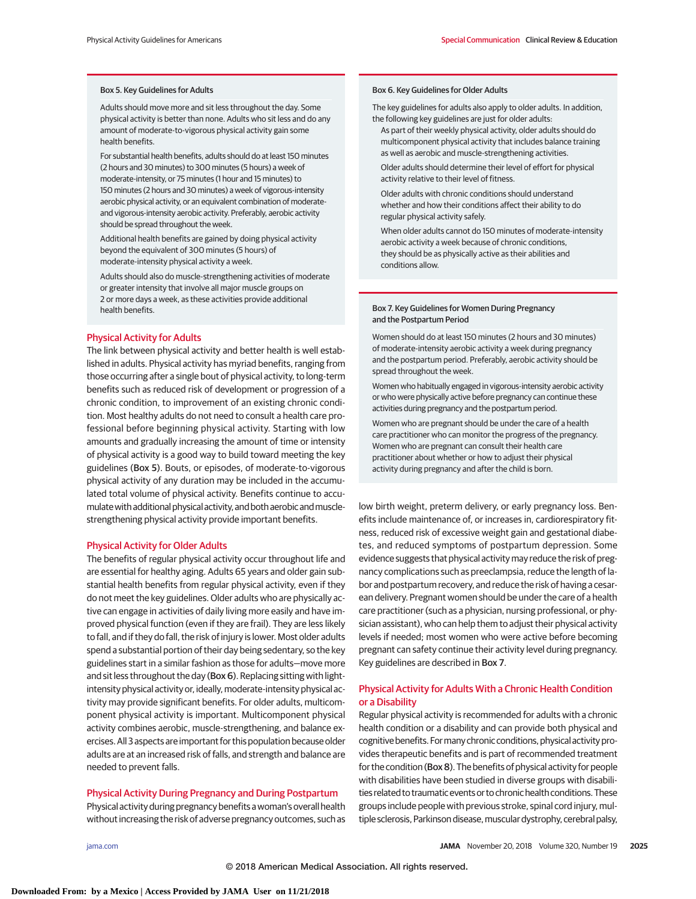## Box 5. Key Guidelines for Adults

Adults should move more and sit less throughout the day. Some physical activity is better than none. Adults who sit less and do any amount of moderate-to-vigorous physical activity gain some health benefits.

For substantial health benefits, adults should do at least 150 minutes (2 hours and 30 minutes) to 300 minutes (5 hours) a week of moderate-intensity, or 75 minutes (1 hour and 15 minutes) to 150 minutes (2 hours and 30 minutes) a week of vigorous-intensity aerobic physical activity, or an equivalent combination of moderateand vigorous-intensity aerobic activity. Preferably, aerobic activity should be spread throughout the week.

Additional health benefits are gained by doing physical activity beyond the equivalent of 300 minutes (5 hours) of moderate-intensity physical activity a week.

Adults should also do muscle-strengthening activities of moderate or greater intensity that involve all major muscle groups on 2 or more days a week, as these activities provide additional health benefits.

## Physical Activity for Adults

The link between physical activity and better health is well established in adults. Physical activity has myriad benefits, ranging from those occurring after a single bout of physical activity, to long-term benefits such as reduced risk of development or progression of a chronic condition, to improvement of an existing chronic condition. Most healthy adults do not need to consult a health care professional before beginning physical activity. Starting with low amounts and gradually increasing the amount of time or intensity of physical activity is a good way to build toward meeting the key guidelines (Box 5). Bouts, or episodes, of moderate-to-vigorous physical activity of any duration may be included in the accumulated total volume of physical activity. Benefits continue to accumulate with additional physical activity, and both aerobic and musclestrengthening physical activity provide important benefits.

#### Physical Activity for Older Adults

The benefits of regular physical activity occur throughout life and are essential for healthy aging. Adults 65 years and older gain substantial health benefits from regular physical activity, even if they do not meet the key guidelines. Older adults who are physically active can engage in activities of daily living more easily and have improved physical function (even if they are frail). They are less likely to fall, and if they do fall, the risk of injury is lower. Most older adults spend a substantial portion of their day being sedentary, so the key guidelines start in a similar fashion as those for adults—move more and sit less throughout the day (Box 6). Replacing sitting with lightintensity physical activity or, ideally, moderate-intensity physical activity may provide significant benefits. For older adults, multicomponent physical activity is important. Multicomponent physical activity combines aerobic, muscle-strengthening, and balance exercises. All 3 aspects are important for this population because older adults are at an increased risk of falls, and strength and balance are needed to prevent falls.

## Physical Activity During Pregnancy and During Postpartum

Physical activity during pregnancy benefits a woman's overall health without increasing the risk of adverse pregnancy outcomes, such as Box 6. Key Guidelines for Older Adults

The key guidelines for adults also apply to older adults. In addition, the following key guidelines are just for older adults:

As part of their weekly physical activity, older adults should do multicomponent physical activity that includes balance training as well as aerobic and muscle-strengthening activities.

Older adults should determine their level of effort for physical activity relative to their level of fitness.

Older adults with chronic conditions should understand whether and how their conditions affect their ability to do regular physical activity safely.

When older adults cannot do 150 minutes of moderate-intensity aerobic activity a week because of chronic conditions, they should be as physically active as their abilities and conditions allow.

#### Box 7. Key Guidelines for Women During Pregnancy and the Postpartum Period

Women should do at least 150 minutes (2 hours and 30 minutes) of moderate-intensity aerobic activity a week during pregnancy and the postpartum period. Preferably, aerobic activity should be spread throughout the week.

Women who habitually engaged in vigorous-intensity aerobic activity or who were physically active before pregnancy can continue these activities during pregnancy and the postpartum period.

Women who are pregnant should be under the care of a health care practitioner who can monitor the progress of the pregnancy. Women who are pregnant can consult their health care practitioner about whether or how to adjust their physical activity during pregnancy and after the child is born.

low birth weight, preterm delivery, or early pregnancy loss. Benefits include maintenance of, or increases in, cardiorespiratory fitness, reduced risk of excessive weight gain and gestational diabetes, and reduced symptoms of postpartum depression. Some evidence suggests that physical activitymay reduce the risk of pregnancy complications such as preeclampsia, reduce the length of labor and postpartum recovery, and reduce the risk of having a cesarean delivery. Pregnant women should be under the care of a health care practitioner (such as a physician, nursing professional, or physician assistant), who can help them to adjust their physical activity levels if needed; most women who were active before becoming pregnant can safety continue their activity level during pregnancy. Key guidelines are described in Box 7.

# Physical Activity for Adults With a Chronic Health Condition or a Disability

Regular physical activity is recommended for adults with a chronic health condition or a disability and can provide both physical and cognitive benefits. For many chronic conditions, physical activity provides therapeutic benefits and is part of recommended treatment for the condition (Box 8). The benefits of physical activity for people with disabilities have been studied in diverse groups with disabilities related to traumaticevents or to chronic health conditions. These groups include people with previous stroke, spinal cord injury, multiple sclerosis, Parkinson disease, muscular dystrophy, cerebral palsy,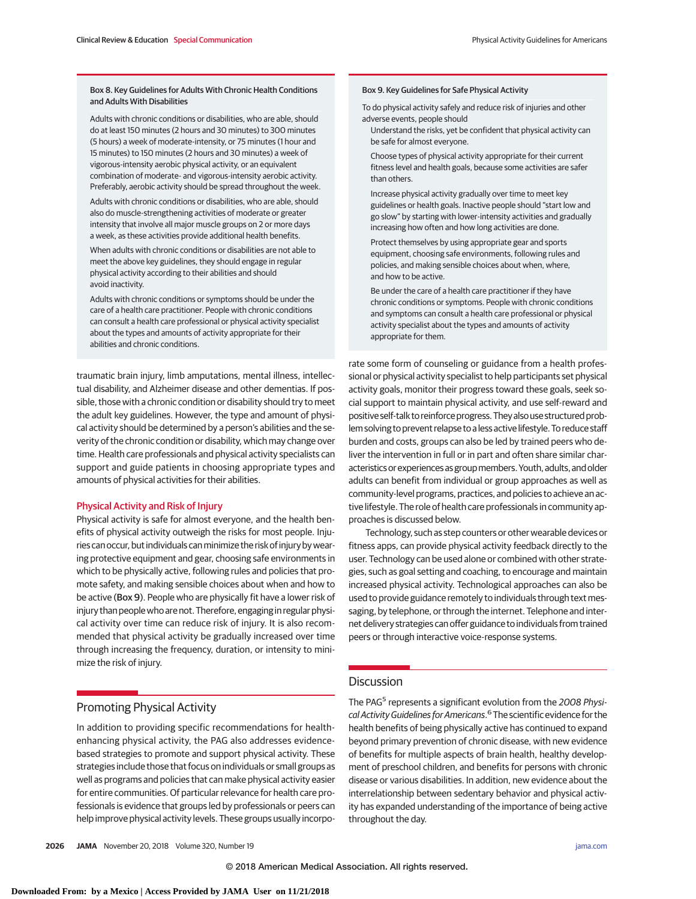## Box 8. Key Guidelines for Adults With Chronic Health Conditions and Adults With Disabilities

Adults with chronic conditions or disabilities, who are able, should do at least 150 minutes (2 hours and 30 minutes) to 300 minutes (5 hours) a week of moderate-intensity, or 75 minutes (1 hour and 15 minutes) to 150 minutes (2 hours and 30 minutes) a week of vigorous-intensity aerobic physical activity, or an equivalent combination of moderate- and vigorous-intensity aerobic activity. Preferably, aerobic activity should be spread throughout the week.

Adults with chronic conditions or disabilities, who are able, should also do muscle-strengthening activities of moderate or greater intensity that involve all major muscle groups on 2 or more days a week, as these activities provide additional health benefits.

When adults with chronic conditions or disabilities are not able to meet the above key guidelines, they should engage in regular physical activity according to their abilities and should avoid inactivity.

Adults with chronic conditions or symptoms should be under the care of a health care practitioner. People with chronic conditions can consult a health care professional or physical activity specialist about the types and amounts of activity appropriate for their abilities and chronic conditions.

traumatic brain injury, limb amputations, mental illness, intellectual disability, and Alzheimer disease and other dementias. If possible, those with a chronic condition or disability should try to meet the adult key guidelines. However, the type and amount of physical activity should be determined by a person's abilities and the severity of the chronic condition or disability, which may change over time. Health care professionals and physical activity specialists can support and guide patients in choosing appropriate types and amounts of physical activities for their abilities.

## Physical Activity and Risk of Injury

Physical activity is safe for almost everyone, and the health benefits of physical activity outweigh the risks for most people. Injuries can occur, but individuals canminimize the risk of injury by wearing protective equipment and gear, choosing safe environments in which to be physically active, following rules and policies that promote safety, and making sensible choices about when and how to be active (Box 9). People who are physically fit have a lower risk of injury than people who are not. Therefore, engaging in regular physical activity over time can reduce risk of injury. It is also recommended that physical activity be gradually increased over time through increasing the frequency, duration, or intensity to minimize the risk of injury.

# Promoting Physical Activity

In addition to providing specific recommendations for healthenhancing physical activity, the PAG also addresses evidencebased strategies to promote and support physical activity. These strategies include those that focus on individuals or small groups as well as programs and policies that can make physical activity easier for entire communities. Of particular relevance for health care professionals is evidence that groups led by professionals or peers can help improve physical activity levels. These groups usually incorpo-

#### Box 9. Key Guidelines for Safe Physical Activity

To do physical activity safely and reduce risk of injuries and other adverse events, people should

Understand the risks, yet be confident that physical activity can be safe for almost everyone.

Choose types of physical activity appropriate for their current fitness level and health goals, because some activities are safer than others.

Increase physical activity gradually over time to meet key guidelines or health goals. Inactive people should "start low and go slow" by starting with lower-intensity activities and gradually increasing how often and how long activities are done.

Protect themselves by using appropriate gear and sports equipment, choosing safe environments, following rules and policies, and making sensible choices about when, where, and how to be active.

Be under the care of a health care practitioner if they have chronic conditions or symptoms. People with chronic conditions and symptoms can consult a health care professional or physical activity specialist about the types and amounts of activity appropriate for them.

rate some form of counseling or guidance from a health professional or physical activity specialist to help participants set physical activity goals, monitor their progress toward these goals, seek social support to maintain physical activity, and use self-reward and positive self-talk to reinforce progress. Theyalso use structured problem solving to prevent relapse to a less active lifestyle. To reduce staff burden and costs, groups can also be led by trained peers who deliver the intervention in full or in part and often share similar characteristics or experiences as group members. Youth, adults, and older adults can benefit from individual or group approaches as well as community-level programs, practices, and policies to achieve an active lifestyle. The role of health care professionals in community approaches is discussed below.

Technology, such as step counters or other wearable devices or fitness apps, can provide physical activity feedback directly to the user. Technology can be used alone or combined with other strategies, such as goal setting and coaching, to encourage and maintain increased physical activity. Technological approaches can also be used to provide guidance remotely to individuals through text messaging, by telephone, or through the internet. Telephone and internet delivery strategies can offer guidance to individuals from trained peers or through interactive voice-response systems.

## **Discussion**

The PAG<sup>5</sup> represents a significant evolution from the 2008 Physical Activity Guidelines for Americans.<sup>6</sup> The scientific evidence for the health benefits of being physically active has continued to expand beyond primary prevention of chronic disease, with new evidence of benefits for multiple aspects of brain health, healthy development of preschool children, and benefits for persons with chronic disease or various disabilities. In addition, new evidence about the interrelationship between sedentary behavior and physical activity has expanded understanding of the importance of being active throughout the day.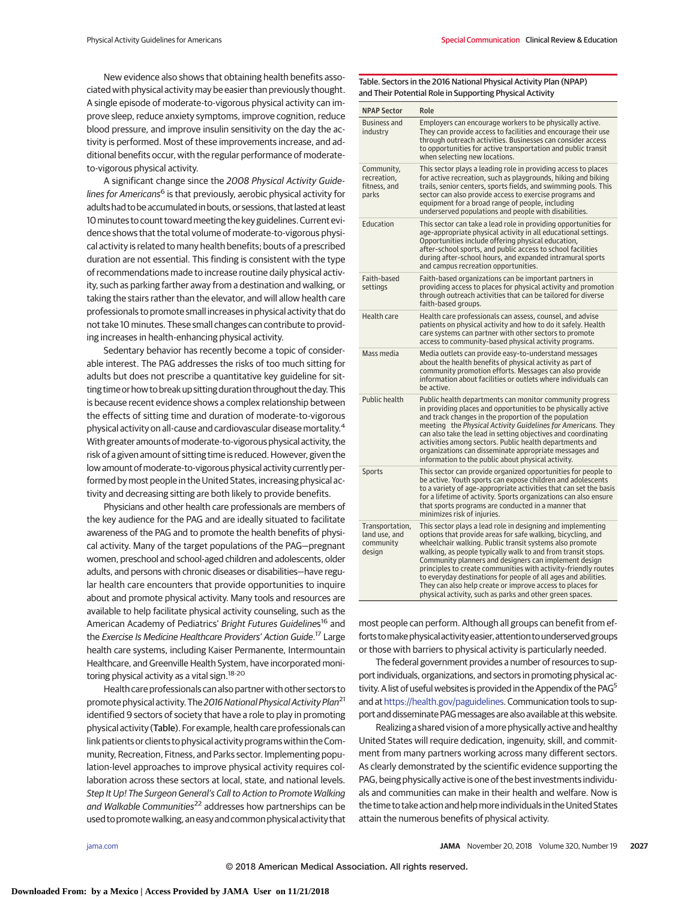New evidence also shows that obtaining health benefits associated with physical activity may be easier than previously thought. A single episode of moderate-to-vigorous physical activity can improve sleep, reduce anxiety symptoms, improve cognition, reduce blood pressure, and improve insulin sensitivity on the day the activity is performed. Most of these improvements increase, and additional benefits occur, with the regular performance of moderateto-vigorous physical activity.

A significant change since the 2008 Physical Activity Guidelines for Americans<sup>6</sup> is that previously, aerobic physical activity for adults had to be accumulated in bouts, or sessions, that lasted at least 10 minutes to count toward meeting the key guidelines. Current evidence shows that the total volume of moderate-to-vigorous physical activity is related to many health benefits; bouts of a prescribed duration are not essential. This finding is consistent with the type of recommendations made to increase routine daily physical activity, such as parking farther away from a destination and walking, or taking the stairs rather than the elevator, and will allow health care professionals to promote small increases in physical activity that do not take 10 minutes. These small changes can contribute to providing increases in health-enhancing physical activity.

Sedentary behavior has recently become a topic of considerable interest. The PAG addresses the risks of too much sitting for adults but does not prescribe a quantitative key guideline for sitting time or how to break up sitting duration throughout the day. This is because recent evidence shows a complex relationship between the effects of sitting time and duration of moderate-to-vigorous physical activity on all-cause and cardiovascular disease mortality.<sup>4</sup> With greater amounts ofmoderate-to-vigorous physical activity, the risk of a given amount of sitting time is reduced. However, given the low amount of moderate-to-vigorous physical activity currently performed by most people in the United States, increasing physical activity and decreasing sitting are both likely to provide benefits.

Physicians and other health care professionals are members of the key audience for the PAG and are ideally situated to facilitate awareness of the PAG and to promote the health benefits of physical activity. Many of the target populations of the PAG—pregnant women, preschool and school-aged children and adolescents, older adults, and persons with chronic diseases or disabilities—have regular health care encounters that provide opportunities to inquire about and promote physical activity. Many tools and resources are available to help facilitate physical activity counseling, such as the American Academy of Pediatrics' Bright Futures Guidelines<sup>16</sup> and the Exercise Is Medicine Healthcare Providers' Action Guide.<sup>17</sup> Large health care systems, including Kaiser Permanente, Intermountain Healthcare, and Greenville Health System, have incorporated monitoring physical activity as a vital sign.<sup>18-20</sup>

Health care professionals can also partner with other sectors to promote physical activity. The 2016 National Physical Activity Plan<sup>21</sup> identified 9 sectors of society that have a role to play in promoting physical activity (Table). For example, health care professionals can link patients or clients to physical activity programs within the Community, Recreation, Fitness, and Parks sector. Implementing population-level approaches to improve physical activity requires collaboration across these sectors at local, state, and national levels. Step It Up! The Surgeon General's Call to Action to Promote Walking and Walkable Communities<sup>22</sup> addresses how partnerships can be used to promote walking, an easy and common physical activity that

Physical Activity Guidelines for Americans Special Communication Clinical Review & Education Clinical Review & Education

Table. Sectors in the 2016 National Physical Activity Plan (NPAP) and Their Potential Role in Supporting Physical Activity

| <b>NPAP Sector</b>                                      | Role                                                                                                                                                                                                                                                                                                                                                                                                                                                                                                                                                                        |
|---------------------------------------------------------|-----------------------------------------------------------------------------------------------------------------------------------------------------------------------------------------------------------------------------------------------------------------------------------------------------------------------------------------------------------------------------------------------------------------------------------------------------------------------------------------------------------------------------------------------------------------------------|
| <b>Business and</b><br>industry                         | Employers can encourage workers to be physically active.<br>They can provide access to facilities and encourage their use<br>through outreach activities. Businesses can consider access<br>to opportunities for active transportation and public transit<br>when selecting new locations.                                                                                                                                                                                                                                                                                  |
| Community,<br>recreation,<br>fitness, and<br>parks      | This sector plays a leading role in providing access to places<br>for active recreation, such as playgrounds, hiking and biking<br>trails, senior centers, sports fields, and swimming pools. This<br>sector can also provide access to exercise programs and<br>equipment for a broad range of people, including<br>underserved populations and people with disabilities.                                                                                                                                                                                                  |
| Education                                               | This sector can take a lead role in providing opportunities for<br>age-appropriate physical activity in all educational settings.<br>Opportunities include offering physical education,<br>after-school sports, and public access to school facilities<br>during after-school hours, and expanded intramural sports<br>and campus recreation opportunities.                                                                                                                                                                                                                 |
| Faith-based<br>settings                                 | Faith-based organizations can be important partners in<br>providing access to places for physical activity and promotion<br>through outreach activities that can be tailored for diverse<br>faith-based groups.                                                                                                                                                                                                                                                                                                                                                             |
| Health care                                             | Health care professionals can assess, counsel, and advise<br>patients on physical activity and how to do it safely. Health<br>care systems can partner with other sectors to promote<br>access to community-based physical activity programs.                                                                                                                                                                                                                                                                                                                               |
| Mass media                                              | Media outlets can provide easy-to-understand messages<br>about the health benefits of physical activity as part of<br>community promotion efforts. Messages can also provide<br>information about facilities or outlets where individuals can<br>be active.                                                                                                                                                                                                                                                                                                                 |
| Public health                                           | Public health departments can monitor community progress<br>in providing places and opportunities to be physically active<br>and track changes in the proportion of the population<br>meeting the Physical Activity Guidelines for Americans. They<br>can also take the lead in setting objectives and coordinating<br>activities among sectors. Public health departments and<br>organizations can disseminate appropriate messages and<br>information to the public about physical activity.                                                                              |
| <b>Sports</b>                                           | This sector can provide organized opportunities for people to<br>be active. Youth sports can expose children and adolescents<br>to a variety of age-appropriate activities that can set the basis<br>for a lifetime of activity. Sports organizations can also ensure<br>that sports programs are conducted in a manner that<br>minimizes risk of injuries.                                                                                                                                                                                                                 |
| Transportation,<br>land use, and<br>community<br>design | This sector plays a lead role in designing and implementing<br>options that provide areas for safe walking, bicycling, and<br>wheelchair walking. Public transit systems also promote<br>walking, as people typically walk to and from transit stops.<br>Community planners and designers can implement design<br>principles to create communities with activity-friendly routes<br>to everyday destinations for people of all ages and abilities.<br>They can also help create or improve access to places for<br>physical activity, such as parks and other green spaces. |

most people can perform. Although all groups can benefit from efforts to make physical activity easier, attention to underserved groups or those with barriers to physical activity is particularly needed.

The federal government provides a number of resources to support individuals, organizations, and sectors in promoting physical activity. A list of useful websites is provided in the Appendix of the PAG<sup>5</sup> and at [https://health.gov/paguidelines.](https://www.health.gov/paguidelines) Communication tools to support and disseminate PAG messages are also available at this website.

Realizing a shared vision of a more physically active and healthy United States will require dedication, ingenuity, skill, and commitment from many partners working across many different sectors. As clearly demonstrated by the scientific evidence supporting the PAG, being physically active is one of the best investments individuals and communities can make in their health and welfare. Now is the time to take action and help more individuals in the United States attain the numerous benefits of physical activity.